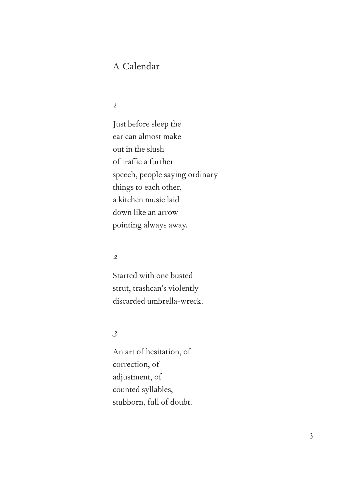# A Calendar

### *1*

Just before sleep the ear can almost make out in the slush of traffic a further speech, people saying ordinary things to each other, a kitchen music laid down like an arrow pointing always away.

#### *2*

Started with one busted strut, trashcan's violently discarded umbrella-wreck.

### *3*

An art of hesitation, of correction, of adjustment, of counted syllables, stubborn, full of doubt.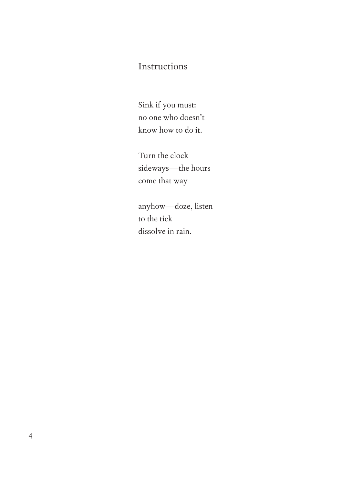## Instructions

Sink if you must: no one who doesn't know how to do it.

Turn the clock sideways—the hours come that way

anyhow—doze, listen to the tick dissolve in rain.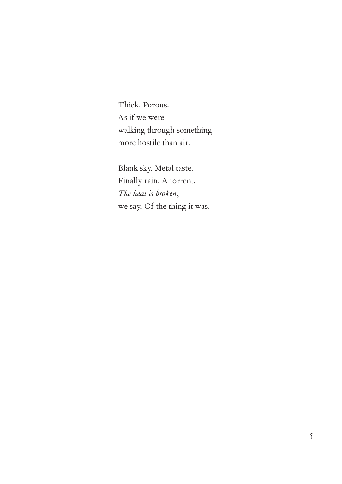Thick. Porous. As if we were walking through something more hostile than air.

Blank sky. Metal taste. Finally rain. A torrent. *The heat is broken*, we say. Of the thing it was.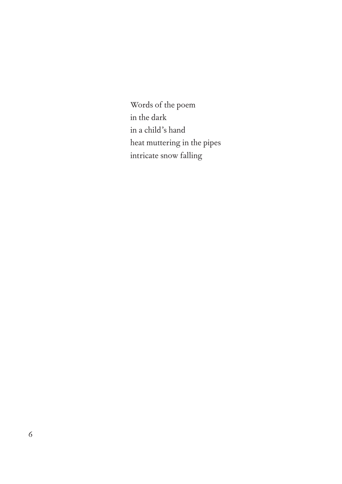Words of the poem in the dark in a child's hand heat muttering in the pipes intricate snow falling